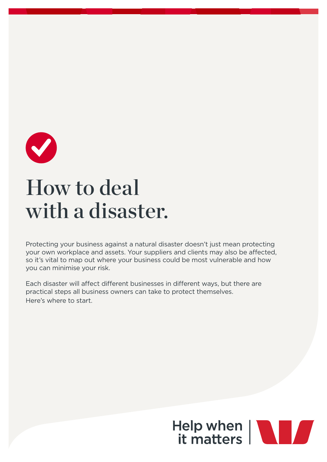

# How to deal with a disaster.

Protecting your business against a natural disaster doesn't just mean protecting your own workplace and assets. Your suppliers and clients may also be affected, so it's vital to map out where your business could be most vulnerable and how you can minimise your risk.

Each disaster will affect different businesses in different ways, but there are practical steps all business owners can take to protect themselves. Here's where to start.

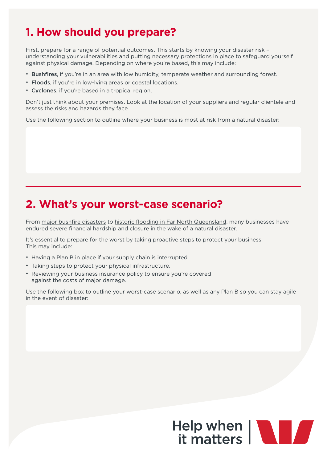## **1. How should you prepare?**

First, prepare for a range of potential outcomes. This starts by [knowing your disaster risk](https://www.business.tas.gov.au/preparing_for_disasters/know_your_disaster_risk) – understanding your vulnerabilities and putting necessary protections in place to safeguard yourself against physical damage. Depending on where you're based, this may include:

- Bushfires, if you're in an area with low humidity, temperate weather and surrounding forest.
- Floods, if you're in low-lying areas or coastal locations.
- Cyclones, if you're based in a tropical region.

Don't just think about your premises. Look at the location of your suppliers and regular clientele and assess the risks and hazards they face.

Use the following section to outline where your business is most at risk from a natural disaster:

#### **2. What's your worst-case scenario?**

From [major bushfire disasters](https://www.abc.net.au/news/2016-02-14/the-cost-of-bushfires-to-communities/7156782) to [historic flooding in Far North Queensland](https://www.abc.net.au/news/2019-02-08/townsville-flood-economic-damage-bill-economic-blow/10791070), many businesses have endured severe financial hardship and closure in the wake of a natural disaster.

It's essential to prepare for the worst by taking proactive steps to protect your business. This may include:

- Having a Plan B in place if your supply chain is interrupted.
- Taking steps to protect your physical infrastructure.
- Reviewing your business insurance policy to ensure you're covered against the costs of major damage.

Use the following box to outline your worst-case scenario, as well as any Plan B so you can stay agile in the event of disaster: